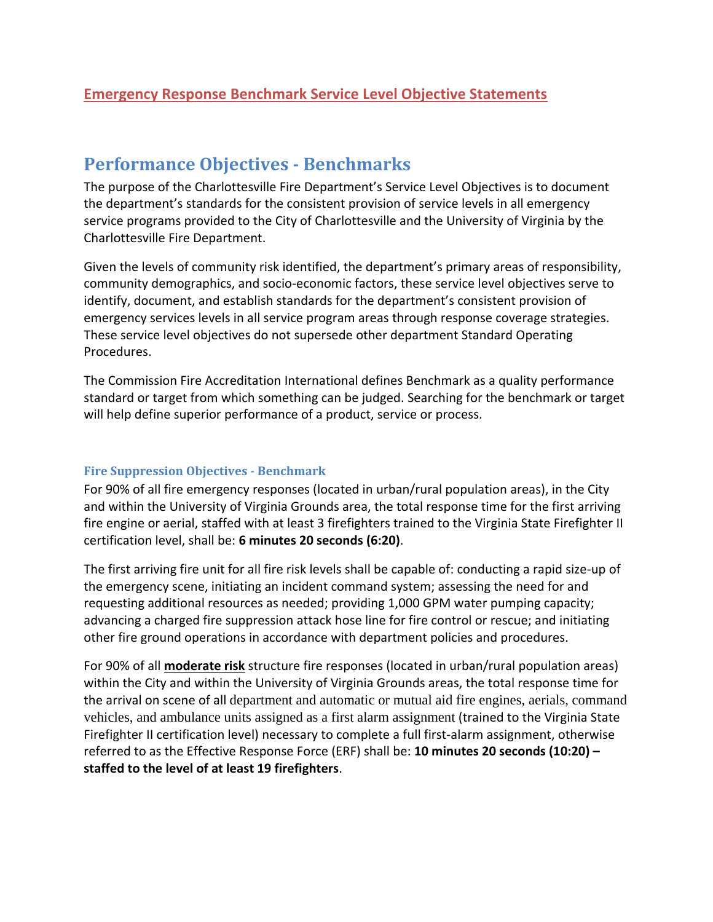# **Performance Objectives - Benchmarks**

The purpose of the Charlottesville Fire Department's Service Level Objectives is to document the department's standards for the consistent provision of service levels in all emergency service programs provided to the City of Charlottesville and the University of Virginia by the Charlottesville Fire Department.

Given the levels of community risk identified, the department's primary areas of responsibility, community demographics, and socio-economic factors, these service level objectives serve to identify, document, and establish standards for the department's consistent provision of emergency services levels in all service program areas through response coverage strategies. These service level objectives do not supersede other department Standard Operating Procedures.

The Commission Fire Accreditation International defines Benchmark as a quality performance standard or target from which something can be judged. Searching for the benchmark or target will help define superior performance of a product, service or process.

## **Fire Suppression Objectives - Benchmark**

For 90% of all fire emergency responses (located in urban/rural population areas), in the City and within the University of Virginia Grounds area, the total response time for the first arriving fire engine or aerial, staffed with at least 3 firefighters trained to the Virginia State Firefighter II certification level, shall be: **6 minutes 20 seconds (6:20)**.

The first arriving fire unit for all fire risk levels shall be capable of: conducting a rapid size-up of the emergency scene, initiating an incident command system; assessing the need for and requesting additional resources as needed; providing 1,000 GPM water pumping capacity; advancing a charged fire suppression attack hose line for fire control or rescue; and initiating other fire ground operations in accordance with department policies and procedures.

For 90% of all **moderate risk** structure fire responses (located in urban/rural population areas) within the City and within the University of Virginia Grounds areas, the total response time for the arrival on scene of all department and automatic or mutual aid fire engines, aerials, command vehicles, and ambulance units assigned as a first alarm assignment (trained to the Virginia State Firefighter II certification level) necessary to complete a full first-alarm assignment, otherwise referred to as the Effective Response Force (ERF) shall be: **10 minutes 20 seconds (10:20) – staffed to the level of at least 19 firefighters**.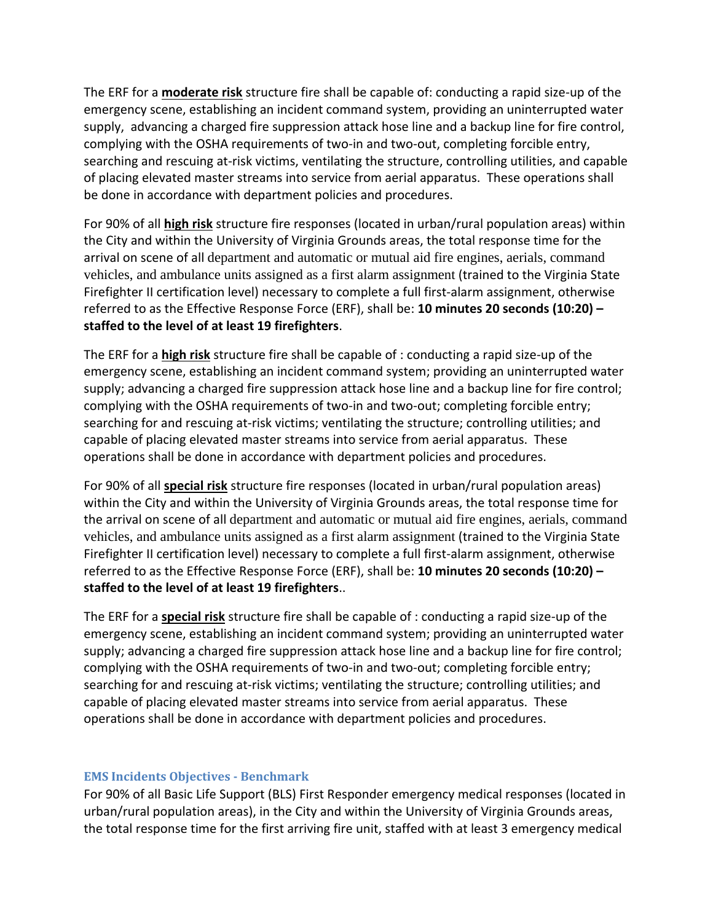The ERF for a **moderate risk** structure fire shall be capable of: conducting a rapid size-up of the emergency scene, establishing an incident command system, providing an uninterrupted water supply, advancing a charged fire suppression attack hose line and a backup line for fire control, complying with the OSHA requirements of two-in and two-out, completing forcible entry, searching and rescuing at-risk victims, ventilating the structure, controlling utilities, and capable of placing elevated master streams into service from aerial apparatus. These operations shall be done in accordance with department policies and procedures.

For 90% of all **high risk** structure fire responses (located in urban/rural population areas) within the City and within the University of Virginia Grounds areas, the total response time for the arrival on scene of all department and automatic or mutual aid fire engines, aerials, command vehicles, and ambulance units assigned as a first alarm assignment (trained to the Virginia State Firefighter II certification level) necessary to complete a full first-alarm assignment, otherwise referred to as the Effective Response Force (ERF), shall be: **10 minutes 20 seconds (10:20) – staffed to the level of at least 19 firefighters**.

The ERF for a **high risk** structure fire shall be capable of : conducting a rapid size-up of the emergency scene, establishing an incident command system; providing an uninterrupted water supply; advancing a charged fire suppression attack hose line and a backup line for fire control; complying with the OSHA requirements of two-in and two-out; completing forcible entry; searching for and rescuing at-risk victims; ventilating the structure; controlling utilities; and capable of placing elevated master streams into service from aerial apparatus. These operations shall be done in accordance with department policies and procedures.

For 90% of all **special risk** structure fire responses (located in urban/rural population areas) within the City and within the University of Virginia Grounds areas, the total response time for the arrival on scene of all department and automatic or mutual aid fire engines, aerials, command vehicles, and ambulance units assigned as a first alarm assignment (trained to the Virginia State Firefighter II certification level) necessary to complete a full first-alarm assignment, otherwise referred to as the Effective Response Force (ERF), shall be: **10 minutes 20 seconds (10:20) – staffed to the level of at least 19 firefighters**..

The ERF for a **special risk** structure fire shall be capable of : conducting a rapid size-up of the emergency scene, establishing an incident command system; providing an uninterrupted water supply; advancing a charged fire suppression attack hose line and a backup line for fire control; complying with the OSHA requirements of two-in and two-out; completing forcible entry; searching for and rescuing at-risk victims; ventilating the structure; controlling utilities; and capable of placing elevated master streams into service from aerial apparatus. These operations shall be done in accordance with department policies and procedures.

#### **EMS Incidents Objectives - Benchmark**

For 90% of all Basic Life Support (BLS) First Responder emergency medical responses (located in urban/rural population areas), in the City and within the University of Virginia Grounds areas, the total response time for the first arriving fire unit, staffed with at least 3 emergency medical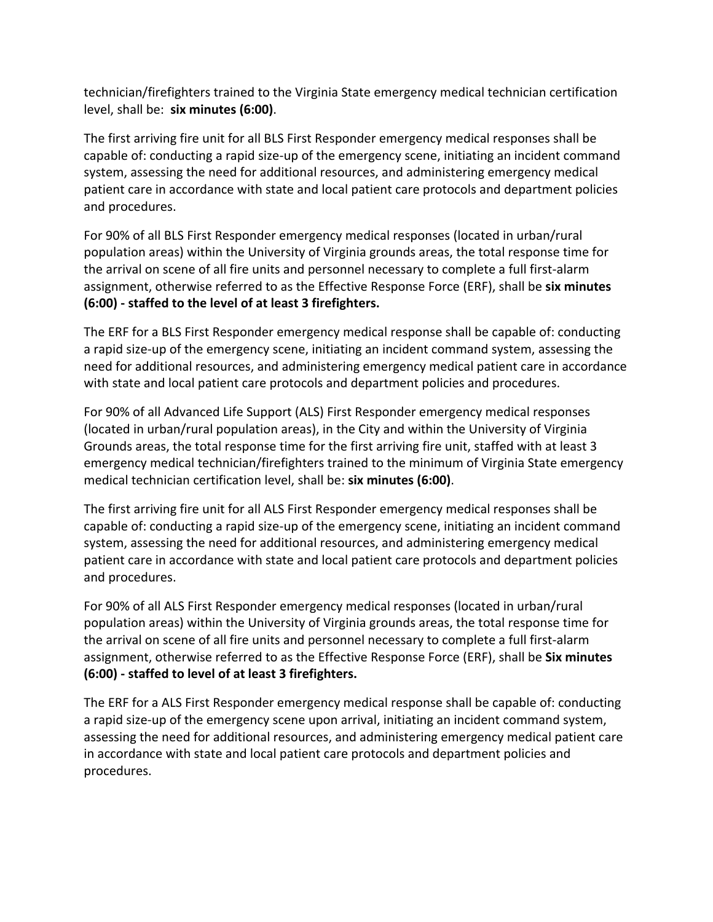technician/firefighters trained to the Virginia State emergency medical technician certification level, shall be: **six minutes (6:00)**.

The first arriving fire unit for all BLS First Responder emergency medical responses shall be capable of: conducting a rapid size-up of the emergency scene, initiating an incident command system, assessing the need for additional resources, and administering emergency medical patient care in accordance with state and local patient care protocols and department policies and procedures.

For 90% of all BLS First Responder emergency medical responses (located in urban/rural population areas) within the University of Virginia grounds areas, the total response time for the arrival on scene of all fire units and personnel necessary to complete a full first-alarm assignment, otherwise referred to as the Effective Response Force (ERF), shall be **six minutes (6:00) - staffed to the level of at least 3 firefighters.**

The ERF for a BLS First Responder emergency medical response shall be capable of: conducting a rapid size-up of the emergency scene, initiating an incident command system, assessing the need for additional resources, and administering emergency medical patient care in accordance with state and local patient care protocols and department policies and procedures.

For 90% of all Advanced Life Support (ALS) First Responder emergency medical responses (located in urban/rural population areas), in the City and within the University of Virginia Grounds areas, the total response time for the first arriving fire unit, staffed with at least 3 emergency medical technician/firefighters trained to the minimum of Virginia State emergency medical technician certification level, shall be: **six minutes (6:00)**.

The first arriving fire unit for all ALS First Responder emergency medical responses shall be capable of: conducting a rapid size-up of the emergency scene, initiating an incident command system, assessing the need for additional resources, and administering emergency medical patient care in accordance with state and local patient care protocols and department policies and procedures.

For 90% of all ALS First Responder emergency medical responses (located in urban/rural population areas) within the University of Virginia grounds areas, the total response time for the arrival on scene of all fire units and personnel necessary to complete a full first-alarm assignment, otherwise referred to as the Effective Response Force (ERF), shall be **Six minutes (6:00) - staffed to level of at least 3 firefighters.**

The ERF for a ALS First Responder emergency medical response shall be capable of: conducting a rapid size-up of the emergency scene upon arrival, initiating an incident command system, assessing the need for additional resources, and administering emergency medical patient care in accordance with state and local patient care protocols and department policies and procedures.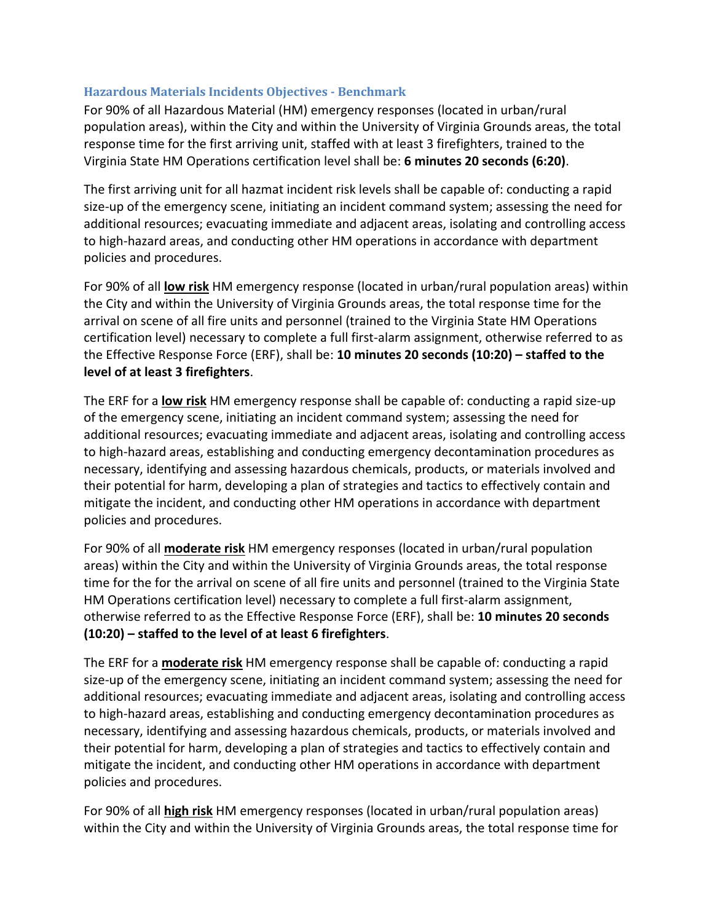### **Hazardous Materials Incidents Objectives - Benchmark**

For 90% of all Hazardous Material (HM) emergency responses (located in urban/rural population areas), within the City and within the University of Virginia Grounds areas, the total response time for the first arriving unit, staffed with at least 3 firefighters, trained to the Virginia State HM Operations certification level shall be: **6 minutes 20 seconds (6:20)**.

The first arriving unit for all hazmat incident risk levels shall be capable of: conducting a rapid size-up of the emergency scene, initiating an incident command system; assessing the need for additional resources; evacuating immediate and adjacent areas, isolating and controlling access to high-hazard areas, and conducting other HM operations in accordance with department policies and procedures.

For 90% of all **low risk** HM emergency response (located in urban/rural population areas) within the City and within the University of Virginia Grounds areas, the total response time for the arrival on scene of all fire units and personnel (trained to the Virginia State HM Operations certification level) necessary to complete a full first-alarm assignment, otherwise referred to as the Effective Response Force (ERF), shall be: **10 minutes 20 seconds (10:20) – staffed to the level of at least 3 firefighters**.

The ERF for a **low risk** HM emergency response shall be capable of: conducting a rapid size-up of the emergency scene, initiating an incident command system; assessing the need for additional resources; evacuating immediate and adjacent areas, isolating and controlling access to high-hazard areas, establishing and conducting emergency decontamination procedures as necessary, identifying and assessing hazardous chemicals, products, or materials involved and their potential for harm, developing a plan of strategies and tactics to effectively contain and mitigate the incident, and conducting other HM operations in accordance with department policies and procedures.

For 90% of all **moderate risk** HM emergency responses (located in urban/rural population areas) within the City and within the University of Virginia Grounds areas, the total response time for the for the arrival on scene of all fire units and personnel (trained to the Virginia State HM Operations certification level) necessary to complete a full first-alarm assignment, otherwise referred to as the Effective Response Force (ERF), shall be: **10 minutes 20 seconds (10:20) – staffed to the level of at least 6 firefighters**.

The ERF for a **moderate risk** HM emergency response shall be capable of: conducting a rapid size-up of the emergency scene, initiating an incident command system; assessing the need for additional resources; evacuating immediate and adjacent areas, isolating and controlling access to high-hazard areas, establishing and conducting emergency decontamination procedures as necessary, identifying and assessing hazardous chemicals, products, or materials involved and their potential for harm, developing a plan of strategies and tactics to effectively contain and mitigate the incident, and conducting other HM operations in accordance with department policies and procedures.

For 90% of all **high risk** HM emergency responses (located in urban/rural population areas) within the City and within the University of Virginia Grounds areas, the total response time for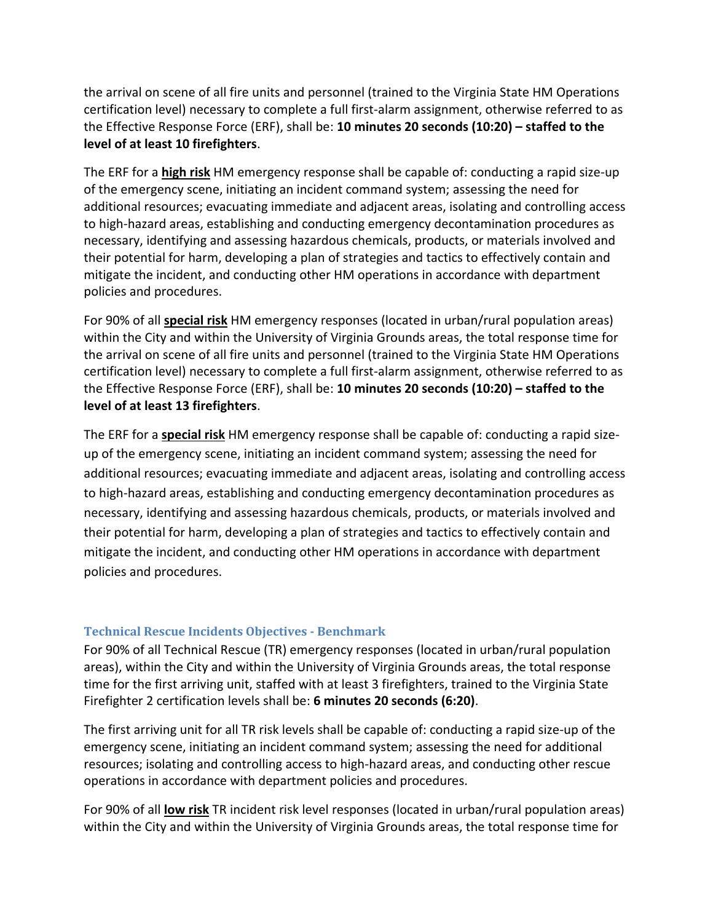the arrival on scene of all fire units and personnel (trained to the Virginia State HM Operations certification level) necessary to complete a full first-alarm assignment, otherwise referred to as the Effective Response Force (ERF), shall be: **10 minutes 20 seconds (10:20) – staffed to the level of at least 10 firefighters**.

The ERF for a **high risk** HM emergency response shall be capable of: conducting a rapid size-up of the emergency scene, initiating an incident command system; assessing the need for additional resources; evacuating immediate and adjacent areas, isolating and controlling access to high-hazard areas, establishing and conducting emergency decontamination procedures as necessary, identifying and assessing hazardous chemicals, products, or materials involved and their potential for harm, developing a plan of strategies and tactics to effectively contain and mitigate the incident, and conducting other HM operations in accordance with department policies and procedures.

For 90% of all **special risk** HM emergency responses (located in urban/rural population areas) within the City and within the University of Virginia Grounds areas, the total response time for the arrival on scene of all fire units and personnel (trained to the Virginia State HM Operations certification level) necessary to complete a full first-alarm assignment, otherwise referred to as the Effective Response Force (ERF), shall be: **10 minutes 20 seconds (10:20) – staffed to the level of at least 13 firefighters**.

The ERF for a **special risk** HM emergency response shall be capable of: conducting a rapid sizeup of the emergency scene, initiating an incident command system; assessing the need for additional resources; evacuating immediate and adjacent areas, isolating and controlling access to high-hazard areas, establishing and conducting emergency decontamination procedures as necessary, identifying and assessing hazardous chemicals, products, or materials involved and their potential for harm, developing a plan of strategies and tactics to effectively contain and mitigate the incident, and conducting other HM operations in accordance with department policies and procedures.

#### **Technical Rescue Incidents Objectives - Benchmark**

For 90% of all Technical Rescue (TR) emergency responses (located in urban/rural population areas), within the City and within the University of Virginia Grounds areas, the total response time for the first arriving unit, staffed with at least 3 firefighters, trained to the Virginia State Firefighter 2 certification levels shall be: **6 minutes 20 seconds (6:20)**.

The first arriving unit for all TR risk levels shall be capable of: conducting a rapid size-up of the emergency scene, initiating an incident command system; assessing the need for additional resources; isolating and controlling access to high-hazard areas, and conducting other rescue operations in accordance with department policies and procedures.

For 90% of all **low risk** TR incident risk level responses (located in urban/rural population areas) within the City and within the University of Virginia Grounds areas, the total response time for